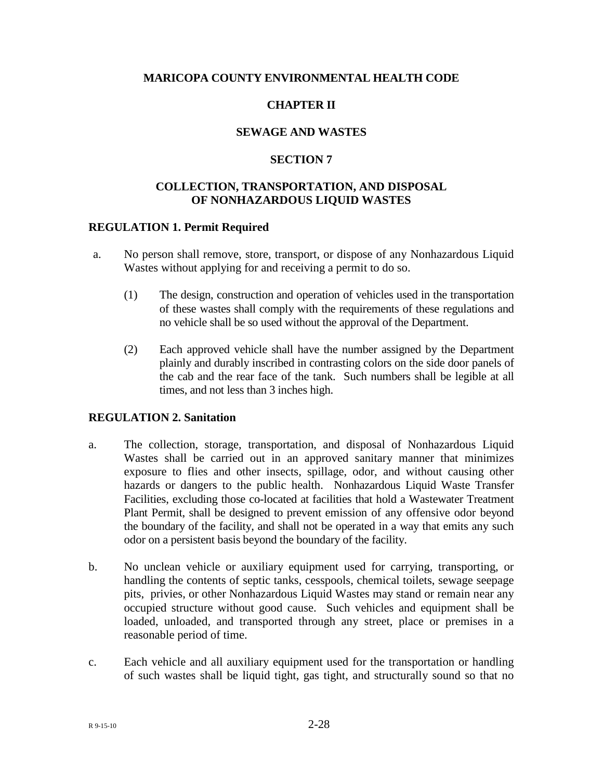## **MARICOPA COUNTY ENVIRONMENTAL HEALTH CODE**

# **CHAPTER II**

## **SEWAGE AND WASTES**

## **SECTION 7**

## **COLLECTION, TRANSPORTATION, AND DISPOSAL OF NONHAZARDOUS LIQUID WASTES**

#### **REGULATION 1. Permit Required**

- a. No person shall remove, store, transport, or dispose of any Nonhazardous Liquid Wastes without applying for and receiving a permit to do so.
	- (1) The design, construction and operation of vehicles used in the transportation of these wastes shall comply with the requirements of these regulations and no vehicle shall be so used without the approval of the Department.
	- (2) Each approved vehicle shall have the number assigned by the Department plainly and durably inscribed in contrasting colors on the side door panels of the cab and the rear face of the tank. Such numbers shall be legible at all times, and not less than 3 inches high.

#### **REGULATION 2. Sanitation**

- a. The collection, storage, transportation, and disposal of Nonhazardous Liquid Wastes shall be carried out in an approved sanitary manner that minimizes exposure to flies and other insects, spillage, odor, and without causing other hazards or dangers to the public health. Nonhazardous Liquid Waste Transfer Facilities, excluding those co-located at facilities that hold a Wastewater Treatment Plant Permit, shall be designed to prevent emission of any offensive odor beyond the boundary of the facility, and shall not be operated in a way that emits any such odor on a persistent basis beyond the boundary of the facility.
- b. No unclean vehicle or auxiliary equipment used for carrying, transporting, or handling the contents of septic tanks, cesspools, chemical toilets, sewage seepage pits, privies, or other Nonhazardous Liquid Wastes may stand or remain near any occupied structure without good cause. Such vehicles and equipment shall be loaded, unloaded, and transported through any street, place or premises in a reasonable period of time.
- c. Each vehicle and all auxiliary equipment used for the transportation or handling of such wastes shall be liquid tight, gas tight, and structurally sound so that no